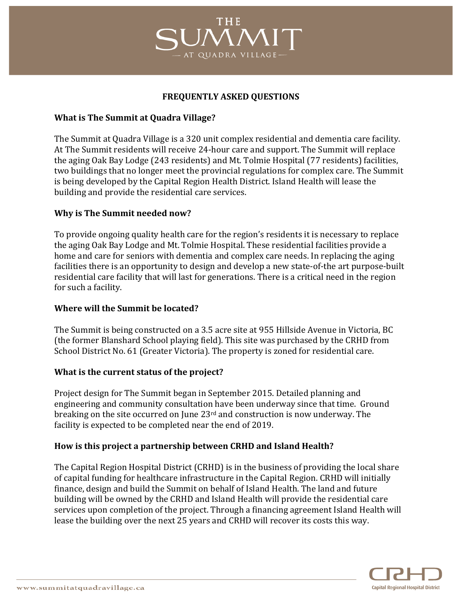# THE QUADRA VILLAG

## **FREQUENTLY ASKED QUESTIONS**

### **What is The Summit at Quadra Village?**

The Summit at Quadra Village is a 320 unit complex residential and dementia care facility. At The Summit residents will receive 24-hour care and support. The Summit will replace the aging Oak Bay Lodge (243 residents) and Mt. Tolmie Hospital (77 residents) facilities, two buildings that no longer meet the provincial regulations for complex care. The Summit is being developed by the Capital Region Health District. Island Health will lease the building and provide the residential care services.

## **Why is The Summit needed now?**

To provide ongoing quality health care for the region's residents it is necessary to replace the aging Oak Bay Lodge and Mt. Tolmie Hospital. These residential facilities provide a home and care for seniors with dementia and complex care needs. In replacing the aging facilities there is an opportunity to design and develop a new state-of-the art purpose-built residential care facility that will last for generations. There is a critical need in the region for such a facility.

## **Where will the Summit be located?**

The Summit is being constructed on a 3.5 acre site at 955 Hillside Avenue in Victoria, BC (the former Blanshard School playing field). This site was purchased by the CRHD from School District No. 61 (Greater Victoria). The property is zoned for residential care.

#### **What is the current status of the project?**

Project design for The Summit began in September 2015. Detailed planning and engineering and community consultation have been underway since that time. Ground breaking on the site occurred on June  $23<sup>rd</sup>$  and construction is now underway. The facility is expected to be completed near the end of 2019.

#### How is this project a partnership between CRHD and Island Health?

The Capital Region Hospital District (CRHD) is in the business of providing the local share of capital funding for healthcare infrastructure in the Capital Region. CRHD will initially finance, design and build the Summit on behalf of Island Health. The land and future building will be owned by the CRHD and Island Health will provide the residential care services upon completion of the project. Through a financing agreement Island Health will lease the building over the next 25 years and CRHD will recover its costs this way.

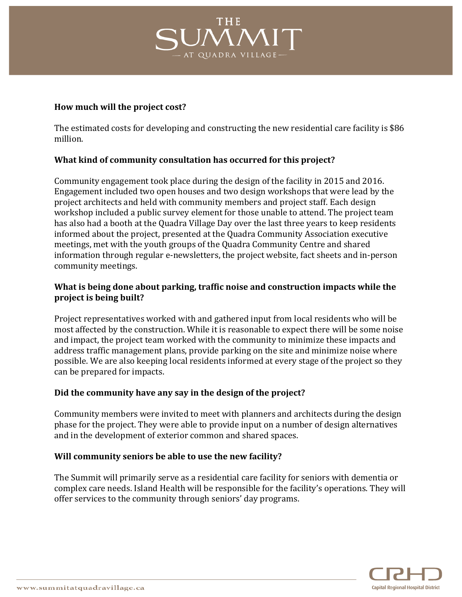

#### How much will the project cost?

The estimated costs for developing and constructing the new residential care facility is \$86 million.!

## **What kind of community consultation has occurred for this project?**

Community engagement took place during the design of the facility in 2015 and 2016. Engagement included two open houses and two design workshops that were lead by the project architects and held with community members and project staff. Each design workshop included a public survey element for those unable to attend. The project team has also had a booth at the Quadra Village Day over the last three years to keep residents informed about the project, presented at the Quadra Community Association executive meetings, met with the youth groups of the Quadra Community Centre and shared information through regular e-newsletters, the project website, fact sheets and in-person community meetings.

## What is being done about parking, traffic noise and construction impacts while the **project is being built?**

Project representatives worked with and gathered input from local residents who will be most affected by the construction. While it is reasonable to expect there will be some noise and impact, the project team worked with the community to minimize these impacts and address traffic management plans, provide parking on the site and minimize noise where possible. We are also keeping local residents informed at every stage of the project so they can be prepared for impacts.

## Did the community have any say in the design of the project?

Community members were invited to meet with planners and architects during the design phase for the project. They were able to provide input on a number of design alternatives and in the development of exterior common and shared spaces.

## Will community seniors be able to use the new facility?

The Summit will primarily serve as a residential care facility for seniors with dementia or complex care needs. Island Health will be responsible for the facility's operations. They will offer services to the community through seniors' day programs.